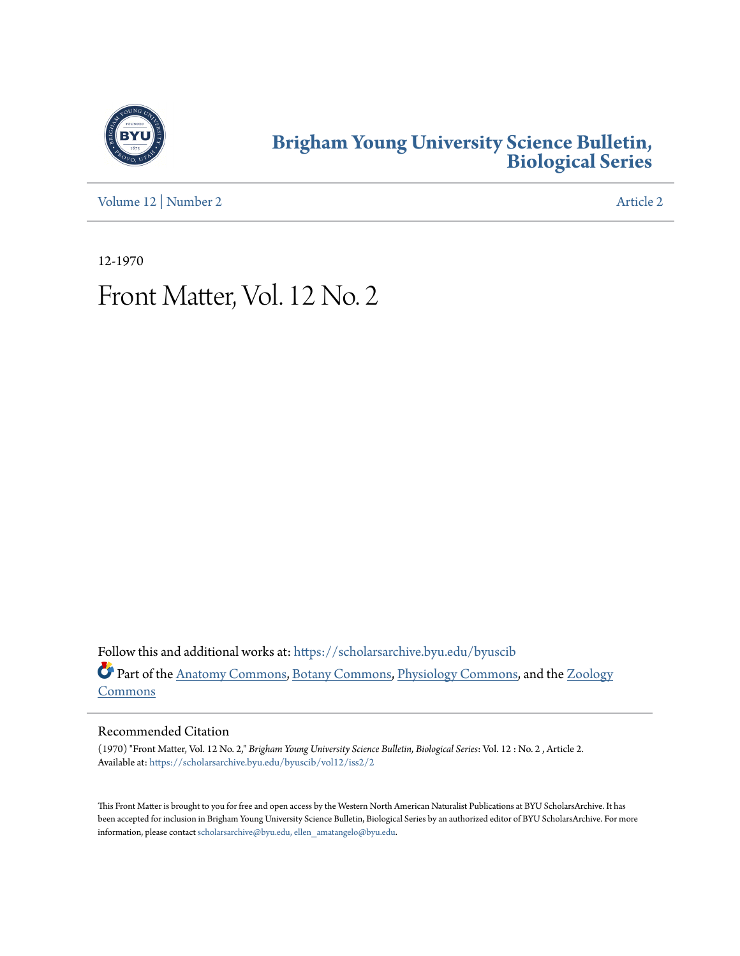

### **[Brigham Young University Science Bulletin,](https://scholarsarchive.byu.edu/byuscib?utm_source=scholarsarchive.byu.edu%2Fbyuscib%2Fvol12%2Fiss2%2F2&utm_medium=PDF&utm_campaign=PDFCoverPages) [Biological Series](https://scholarsarchive.byu.edu/byuscib?utm_source=scholarsarchive.byu.edu%2Fbyuscib%2Fvol12%2Fiss2%2F2&utm_medium=PDF&utm_campaign=PDFCoverPages)**

[Volume 12](https://scholarsarchive.byu.edu/byuscib/vol12?utm_source=scholarsarchive.byu.edu%2Fbyuscib%2Fvol12%2Fiss2%2F2&utm_medium=PDF&utm_campaign=PDFCoverPages) | [Number 2](https://scholarsarchive.byu.edu/byuscib/vol12/iss2?utm_source=scholarsarchive.byu.edu%2Fbyuscib%2Fvol12%2Fiss2%2F2&utm_medium=PDF&utm_campaign=PDFCoverPages) [Article 2](https://scholarsarchive.byu.edu/byuscib/vol12/iss2/2?utm_source=scholarsarchive.byu.edu%2Fbyuscib%2Fvol12%2Fiss2%2F2&utm_medium=PDF&utm_campaign=PDFCoverPages)

12-1970

## Front Matter, Vol. 12 No. 2

Follow this and additional works at: [https://scholarsarchive.byu.edu/byuscib](https://scholarsarchive.byu.edu/byuscib?utm_source=scholarsarchive.byu.edu%2Fbyuscib%2Fvol12%2Fiss2%2F2&utm_medium=PDF&utm_campaign=PDFCoverPages) Part of the [Anatomy Commons](http://network.bepress.com/hgg/discipline/903?utm_source=scholarsarchive.byu.edu%2Fbyuscib%2Fvol12%2Fiss2%2F2&utm_medium=PDF&utm_campaign=PDFCoverPages), [Botany Commons](http://network.bepress.com/hgg/discipline/104?utm_source=scholarsarchive.byu.edu%2Fbyuscib%2Fvol12%2Fiss2%2F2&utm_medium=PDF&utm_campaign=PDFCoverPages), [Physiology Commons,](http://network.bepress.com/hgg/discipline/69?utm_source=scholarsarchive.byu.edu%2Fbyuscib%2Fvol12%2Fiss2%2F2&utm_medium=PDF&utm_campaign=PDFCoverPages) and the [Zoology](http://network.bepress.com/hgg/discipline/81?utm_source=scholarsarchive.byu.edu%2Fbyuscib%2Fvol12%2Fiss2%2F2&utm_medium=PDF&utm_campaign=PDFCoverPages) [Commons](http://network.bepress.com/hgg/discipline/81?utm_source=scholarsarchive.byu.edu%2Fbyuscib%2Fvol12%2Fiss2%2F2&utm_medium=PDF&utm_campaign=PDFCoverPages)

#### Recommended Citation

(1970) "Front Matter, Vol. 12 No. 2," *Brigham Young University Science Bulletin, Biological Series*: Vol. 12 : No. 2 , Article 2. Available at: [https://scholarsarchive.byu.edu/byuscib/vol12/iss2/2](https://scholarsarchive.byu.edu/byuscib/vol12/iss2/2?utm_source=scholarsarchive.byu.edu%2Fbyuscib%2Fvol12%2Fiss2%2F2&utm_medium=PDF&utm_campaign=PDFCoverPages)

This Front Matter is brought to you for free and open access by the Western North American Naturalist Publications at BYU ScholarsArchive. It has been accepted for inclusion in Brigham Young University Science Bulletin, Biological Series by an authorized editor of BYU ScholarsArchive. For more information, please contact [scholarsarchive@byu.edu, ellen\\_amatangelo@byu.edu](mailto:scholarsarchive@byu.edu,%20ellen_amatangelo@byu.edu).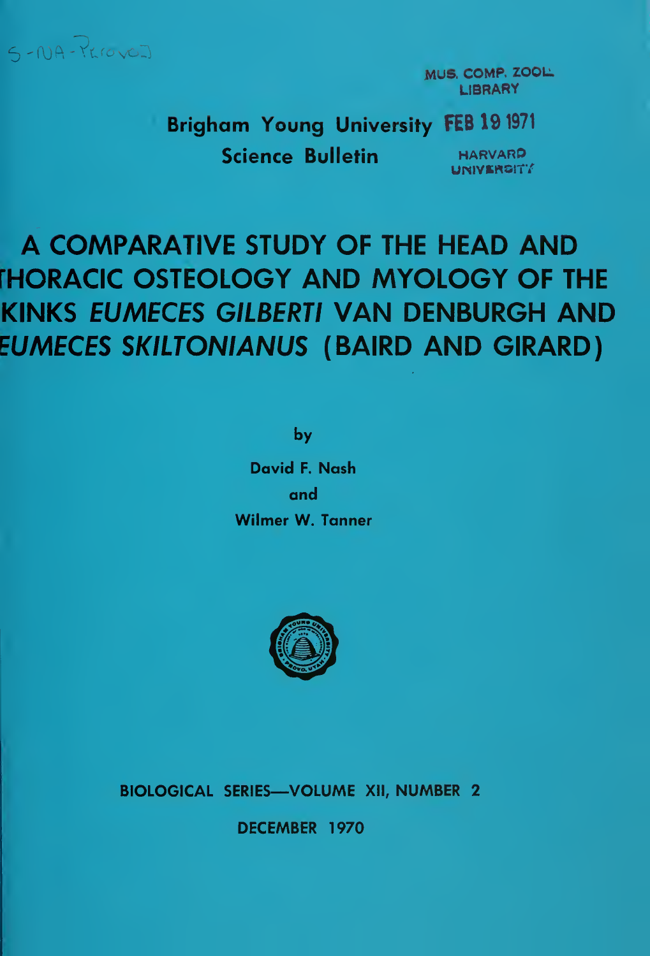

MUS. COMP. ZOOL. **LIBRARY** 

Brigham Young University FEB 19 <sup>1971</sup>

Science Bulletin HARVARP

UNIVERGITY

# A COMPARATIVE STUDY OF THE HEAD AND fHORACIC OSTEOLOGY AND MYOLOGY OF THE KINKS EUMECES GILBERTI VAN DENBURGH AND EUMECES SKILTONIANUS (BAIRD AND GIRARD)

by

David F. Nash and Wilmer W. Tanner



BIOLOGICAL SERIES—VOLUME XII, NUMBER 2

DECEMBER 1970